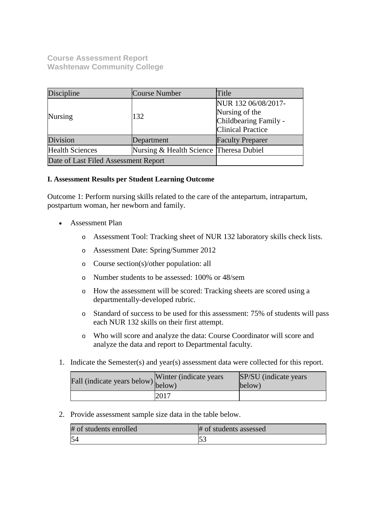**Course Assessment Report Washtenaw Community College**

| Discipline                           | Course Number                           | Title                                                                                      |
|--------------------------------------|-----------------------------------------|--------------------------------------------------------------------------------------------|
| <b>Nursing</b>                       | 132                                     | NUR 132 06/08/2017-<br>Nursing of the<br>Childbearing Family -<br><b>Clinical Practice</b> |
| Division                             | Department                              | <b>Faculty Preparer</b>                                                                    |
| <b>Health Sciences</b>               | Nursing & Health Science Theresa Dubiel |                                                                                            |
| Date of Last Filed Assessment Report |                                         |                                                                                            |

# **I. Assessment Results per Student Learning Outcome**

Outcome 1: Perform nursing skills related to the care of the antepartum, intrapartum, postpartum woman, her newborn and family.

- Assessment Plan
	- o Assessment Tool: Tracking sheet of NUR 132 laboratory skills check lists.
	- o Assessment Date: Spring/Summer 2012
	- o Course section(s)/other population: all
	- o Number students to be assessed: 100% or 48/sem
	- o How the assessment will be scored: Tracking sheets are scored using a departmentally-developed rubric.
	- o Standard of success to be used for this assessment: 75% of students will pass each NUR 132 skills on their first attempt.
	- o Who will score and analyze the data: Course Coordinator will score and analyze the data and report to Departmental faculty.
- 1. Indicate the Semester(s) and year(s) assessment data were collected for this report.

| Fall (indicate years below) below) | Winter (indicate years) | SP/SU (indicate years)<br>below) |
|------------------------------------|-------------------------|----------------------------------|
|                                    | 2017                    |                                  |

2. Provide assessment sample size data in the table below.

| # of students enrolled | # of students assessed |
|------------------------|------------------------|
|                        | 51                     |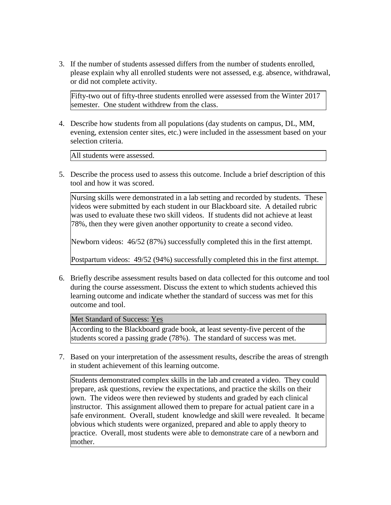3. If the number of students assessed differs from the number of students enrolled, please explain why all enrolled students were not assessed, e.g. absence, withdrawal, or did not complete activity.

Fifty-two out of fifty-three students enrolled were assessed from the Winter 2017 semester. One student withdrew from the class.

4. Describe how students from all populations (day students on campus, DL, MM, evening, extension center sites, etc.) were included in the assessment based on your selection criteria.

All students were assessed.

5. Describe the process used to assess this outcome. Include a brief description of this tool and how it was scored.

Nursing skills were demonstrated in a lab setting and recorded by students. These videos were submitted by each student in our Blackboard site. A detailed rubric was used to evaluate these two skill videos. If students did not achieve at least 78%, then they were given another opportunity to create a second video.

Newborn videos: 46/52 (87%) successfully completed this in the first attempt.

Postpartum videos: 49/52 (94%) successfully completed this in the first attempt.

6. Briefly describe assessment results based on data collected for this outcome and tool during the course assessment. Discuss the extent to which students achieved this learning outcome and indicate whether the standard of success was met for this outcome and tool.

Met Standard of Success: Yes

According to the Blackboard grade book, at least seventy-five percent of the students scored a passing grade (78%). The standard of success was met.

7. Based on your interpretation of the assessment results, describe the areas of strength in student achievement of this learning outcome.

Students demonstrated complex skills in the lab and created a video. They could prepare, ask questions, review the expectations, and practice the skills on their own. The videos were then reviewed by students and graded by each clinical instructor. This assignment allowed them to prepare for actual patient care in a safe environment. Overall, student knowledge and skill were revealed. It became obvious which students were organized, prepared and able to apply theory to practice. Overall, most students were able to demonstrate care of a newborn and mother.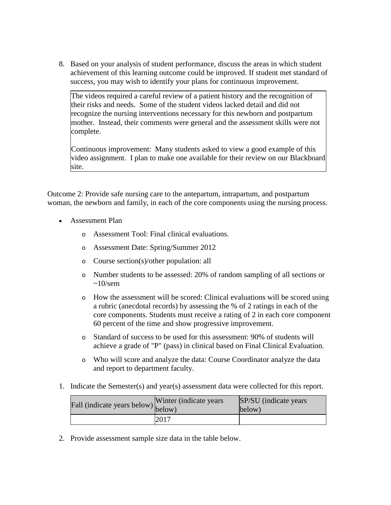8. Based on your analysis of student performance, discuss the areas in which student achievement of this learning outcome could be improved. If student met standard of success, you may wish to identify your plans for continuous improvement.

The videos required a careful review of a patient history and the recognition of their risks and needs. Some of the student videos lacked detail and did not recognize the nursing interventions necessary for this newborn and postpartum mother. Instead, their comments were general and the assessment skills were not complete.

Continuous improvement: Many students asked to view a good example of this video assignment. I plan to make one available for their review on our Blackboard site.

Outcome 2: Provide safe nursing care to the antepartum, intrapartum, and postpartum woman, the newborn and family, in each of the core components using the nursing process.

- Assessment Plan
	- o Assessment Tool: Final clinical evaluations.
	- o Assessment Date: Spring/Summer 2012
	- o Course section(s)/other population: all
	- o Number students to be assessed: 20% of random sampling of all sections or  $\sim 10$ /sem
	- o How the assessment will be scored: Clinical evaluations will be scored using a rubric (anecdotal records) by assessing the % of 2 ratings in each of the core components. Students must receive a rating of 2 in each core component 60 percent of the time and show progressive improvement.
	- o Standard of success to be used for this assessment: 90% of students will achieve a grade of "P" (pass) in clinical based on Final Clinical Evaluation.
	- o Who will score and analyze the data: Course Coordinator analyze the data and report to department faculty.
- 1. Indicate the Semester(s) and year(s) assessment data were collected for this report.

| rall (indicate years below) below) | Winter (indicate years) | SP/SU (indicate years)<br>below) |
|------------------------------------|-------------------------|----------------------------------|
|                                    | 2017                    |                                  |

2. Provide assessment sample size data in the table below.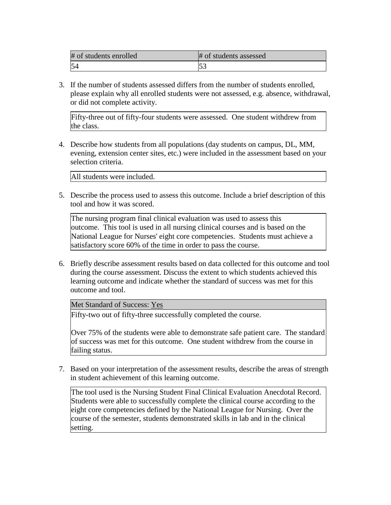| # of students enrolled | # of students assessed |
|------------------------|------------------------|
|                        |                        |

3. If the number of students assessed differs from the number of students enrolled, please explain why all enrolled students were not assessed, e.g. absence, withdrawal, or did not complete activity.

Fifty-three out of fifty-four students were assessed. One student withdrew from the class.

4. Describe how students from all populations (day students on campus, DL, MM, evening, extension center sites, etc.) were included in the assessment based on your selection criteria.

All students were included.

5. Describe the process used to assess this outcome. Include a brief description of this tool and how it was scored.

The nursing program final clinical evaluation was used to assess this outcome. This tool is used in all nursing clinical courses and is based on the National League for Nurses' eight core competencies. Students must achieve a satisfactory score 60% of the time in order to pass the course.

6. Briefly describe assessment results based on data collected for this outcome and tool during the course assessment. Discuss the extent to which students achieved this learning outcome and indicate whether the standard of success was met for this outcome and tool.

Met Standard of Success: Yes

Fifty-two out of fifty-three successfully completed the course.

Over 75% of the students were able to demonstrate safe patient care. The standard of success was met for this outcome. One student withdrew from the course in failing status.

7. Based on your interpretation of the assessment results, describe the areas of strength in student achievement of this learning outcome.

The tool used is the Nursing Student Final Clinical Evaluation Anecdotal Record. Students were able to successfully complete the clinical course according to the eight core competencies defined by the National League for Nursing. Over the course of the semester, students demonstrated skills in lab and in the clinical setting.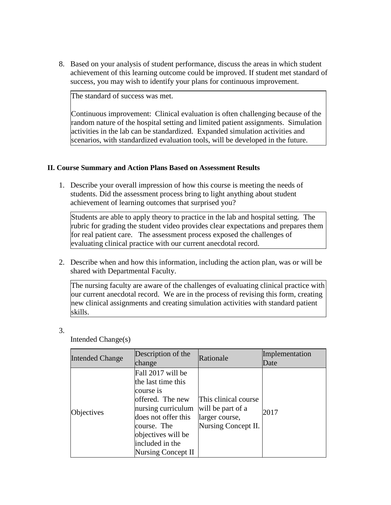8. Based on your analysis of student performance, discuss the areas in which student achievement of this learning outcome could be improved. If student met standard of success, you may wish to identify your plans for continuous improvement.

The standard of success was met.

Continuous improvement: Clinical evaluation is often challenging because of the random nature of the hospital setting and limited patient assignments. Simulation activities in the lab can be standardized. Expanded simulation activities and scenarios, with standardized evaluation tools, will be developed in the future.

# **II. Course Summary and Action Plans Based on Assessment Results**

1. Describe your overall impression of how this course is meeting the needs of students. Did the assessment process bring to light anything about student achievement of learning outcomes that surprised you?

Students are able to apply theory to practice in the lab and hospital setting. The rubric for grading the student video provides clear expectations and prepares them for real patient care. The assessment process exposed the challenges of evaluating clinical practice with our current anecdotal record.

2. Describe when and how this information, including the action plan, was or will be shared with Departmental Faculty.

The nursing faculty are aware of the challenges of evaluating clinical practice with our current anecdotal record. We are in the process of revising this form, creating new clinical assignments and creating simulation activities with standard patient skills.

3.

Intended Change(s)

| <b>Intended Change</b> | Description of the<br>change                                                                                                                                                                               | Rationale                                                                          | Implementation<br>Date |
|------------------------|------------------------------------------------------------------------------------------------------------------------------------------------------------------------------------------------------------|------------------------------------------------------------------------------------|------------------------|
| Objectives             | Fall 2017 will be<br>the last time this<br>course is<br>offered. The new<br>nursing curriculum<br>does not offer this<br>course. The<br>objectives will be<br>included in the<br><b>Nursing Concept II</b> | This clinical course<br>will be part of a<br>larger course,<br>Nursing Concept II. | 2017                   |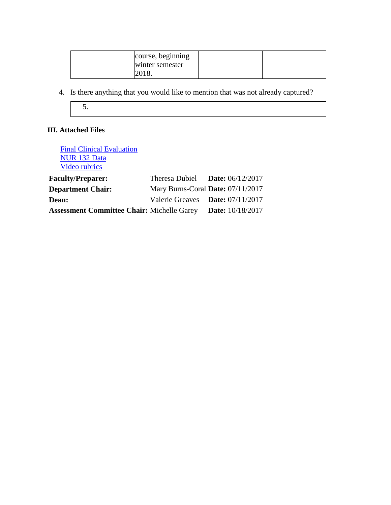| course, beginning |  |
|-------------------|--|
| winter semester   |  |
| 2018.             |  |

4. Is there anything that you would like to mention that was not already captured?



# **III. Attached Files**

| <b>Final Clinical Evaluation</b><br>NUR 132 Data<br>Video rubrics |                                    |                         |
|-------------------------------------------------------------------|------------------------------------|-------------------------|
| <b>Faculty/Preparer:</b>                                          | Theresa Dubiel Date: $06/12/2017$  |                         |
| <b>Department Chair:</b>                                          | Mary Burns-Coral Date: 07/11/2017  |                         |
| <b>Dean:</b>                                                      | Valerie Greaves Date: $07/11/2017$ |                         |
| <b>Assessment Committee Chair: Michelle Garey</b>                 |                                    | <b>Date:</b> 10/18/2017 |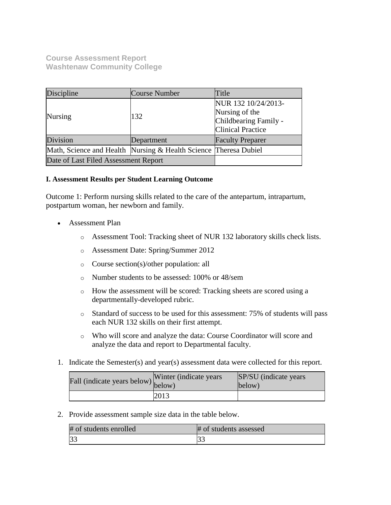**Course Assessment Report Washtenaw Community College**

| Discipline                                                       | Course Number | Title                                                                                      |
|------------------------------------------------------------------|---------------|--------------------------------------------------------------------------------------------|
| <b>Nursing</b>                                                   | 132           | NUR 132 10/24/2013-<br>Nursing of the<br>Childbearing Family -<br><b>Clinical Practice</b> |
| Division                                                         | Department    | <b>Faculty Preparer</b>                                                                    |
| Math, Science and Health Nursing & Health Science Theresa Dubiel |               |                                                                                            |
| Date of Last Filed Assessment Report                             |               |                                                                                            |

# **I. Assessment Results per Student Learning Outcome**

Outcome 1: Perform nursing skills related to the care of the antepartum, intrapartum, postpartum woman, her newborn and family.

- Assessment Plan
	- o Assessment Tool: Tracking sheet of NUR 132 laboratory skills check lists.
	- o Assessment Date: Spring/Summer 2012
	- o Course section(s)/other population: all
	- o Number students to be assessed: 100% or 48/sem
	- o How the assessment will be scored: Tracking sheets are scored using a departmentally-developed rubric.
	- o Standard of success to be used for this assessment: 75% of students will pass each NUR 132 skills on their first attempt.
	- o Who will score and analyze the data: Course Coordinator will score and analyze the data and report to Departmental faculty.
- 1. Indicate the Semester(s) and year(s) assessment data were collected for this report.

| Fall (indicate years below) below) | Winter (indicate years) | SP/SU (indicate years)<br>below) |
|------------------------------------|-------------------------|----------------------------------|
|                                    | 2013                    |                                  |

2. Provide assessment sample size data in the table below.

| # of students enrolled | # of students assessed |
|------------------------|------------------------|
| 33                     |                        |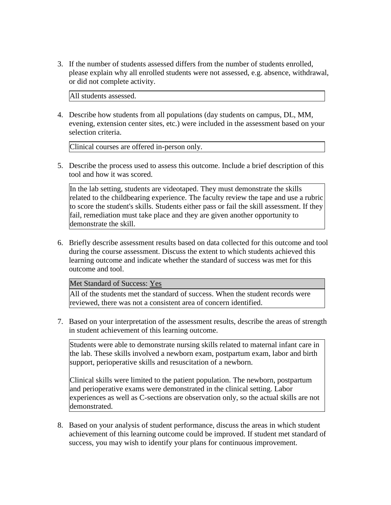3. If the number of students assessed differs from the number of students enrolled, please explain why all enrolled students were not assessed, e.g. absence, withdrawal, or did not complete activity.

All students assessed.

4. Describe how students from all populations (day students on campus, DL, MM, evening, extension center sites, etc.) were included in the assessment based on your selection criteria.

Clinical courses are offered in-person only.

5. Describe the process used to assess this outcome. Include a brief description of this tool and how it was scored.

In the lab setting, students are videotaped. They must demonstrate the skills related to the childbearing experience. The faculty review the tape and use a rubric to score the student's skills. Students either pass or fail the skill assessment. If they fail, remediation must take place and they are given another opportunity to demonstrate the skill.

6. Briefly describe assessment results based on data collected for this outcome and tool during the course assessment. Discuss the extent to which students achieved this learning outcome and indicate whether the standard of success was met for this outcome and tool.

Met Standard of Success: Yes

All of the students met the standard of success. When the student records were reviewed, there was not a consistent area of concern identified.

7. Based on your interpretation of the assessment results, describe the areas of strength in student achievement of this learning outcome.

Students were able to demonstrate nursing skills related to maternal infant care in the lab. These skills involved a newborn exam, postpartum exam, labor and birth support, perioperative skills and resuscitation of a newborn.

Clinical skills were limited to the patient population. The newborn, postpartum and perioperative exams were demonstrated in the clinical setting. Labor experiences as well as C-sections are observation only, so the actual skills are not demonstrated.

8. Based on your analysis of student performance, discuss the areas in which student achievement of this learning outcome could be improved. If student met standard of success, you may wish to identify your plans for continuous improvement.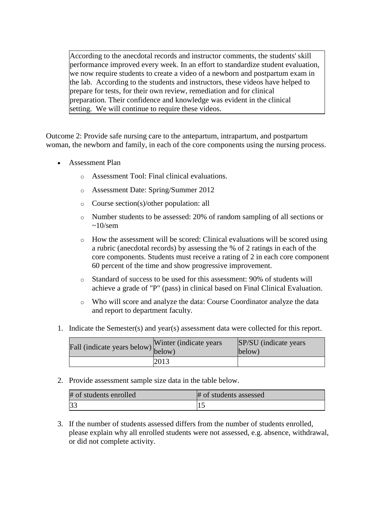According to the anecdotal records and instructor comments, the students' skill performance improved every week. In an effort to standardize student evaluation, we now require students to create a video of a newborn and postpartum exam in the lab. According to the students and instructors, these videos have helped to prepare for tests, for their own review, remediation and for clinical preparation. Their confidence and knowledge was evident in the clinical setting. We will continue to require these videos.

Outcome 2: Provide safe nursing care to the antepartum, intrapartum, and postpartum woman, the newborn and family, in each of the core components using the nursing process.

- Assessment Plan
	- o Assessment Tool: Final clinical evaluations.
	- o Assessment Date: Spring/Summer 2012
	- o Course section(s)/other population: all
	- o Number students to be assessed: 20% of random sampling of all sections or  $\sim 10$ /sem
	- o How the assessment will be scored: Clinical evaluations will be scored using a rubric (anecdotal records) by assessing the % of 2 ratings in each of the core components. Students must receive a rating of 2 in each core component 60 percent of the time and show progressive improvement.
	- o Standard of success to be used for this assessment: 90% of students will achieve a grade of "P" (pass) in clinical based on Final Clinical Evaluation.
	- o Who will score and analyze the data: Course Coordinator analyze the data and report to department faculty.
- 1. Indicate the Semester(s) and year(s) assessment data were collected for this report.

| Fall (indicate years below) below) | Winter (indicate years) | <b>SP/SU</b> (indicate years)<br>below) |
|------------------------------------|-------------------------|-----------------------------------------|
|                                    | 2013                    |                                         |

2. Provide assessment sample size data in the table below.

| # of students enrolled | # of students assessed |
|------------------------|------------------------|
|                        | ப                      |

3. If the number of students assessed differs from the number of students enrolled, please explain why all enrolled students were not assessed, e.g. absence, withdrawal, or did not complete activity.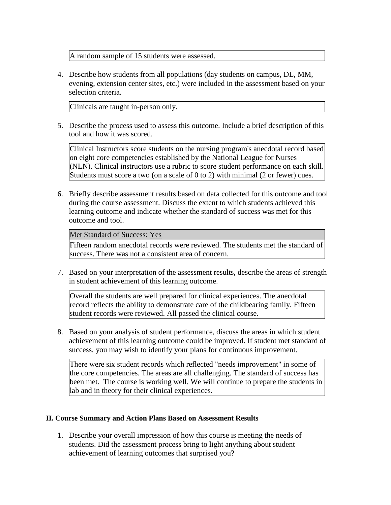A random sample of 15 students were assessed.

4. Describe how students from all populations (day students on campus, DL, MM, evening, extension center sites, etc.) were included in the assessment based on your selection criteria.

Clinicals are taught in-person only.

5. Describe the process used to assess this outcome. Include a brief description of this tool and how it was scored.

Clinical Instructors score students on the nursing program's anecdotal record based on eight core competencies established by the National League for Nurses (NLN). Clinical instructors use a rubric to score student performance on each skill. Students must score a two (on a scale of 0 to 2) with minimal (2 or fewer) cues.

6. Briefly describe assessment results based on data collected for this outcome and tool during the course assessment. Discuss the extent to which students achieved this learning outcome and indicate whether the standard of success was met for this outcome and tool.

## Met Standard of Success: Yes

Fifteen random anecdotal records were reviewed. The students met the standard of success. There was not a consistent area of concern.

7. Based on your interpretation of the assessment results, describe the areas of strength in student achievement of this learning outcome.

Overall the students are well prepared for clinical experiences. The anecdotal record reflects the ability to demonstrate care of the childbearing family. Fifteen student records were reviewed. All passed the clinical course.

8. Based on your analysis of student performance, discuss the areas in which student achievement of this learning outcome could be improved. If student met standard of success, you may wish to identify your plans for continuous improvement.

There were six student records which reflected "needs improvement" in some of the core competencies. The areas are all challenging. The standard of success has been met. The course is working well. We will continue to prepare the students in lab and in theory for their clinical experiences.

# **II. Course Summary and Action Plans Based on Assessment Results**

1. Describe your overall impression of how this course is meeting the needs of students. Did the assessment process bring to light anything about student achievement of learning outcomes that surprised you?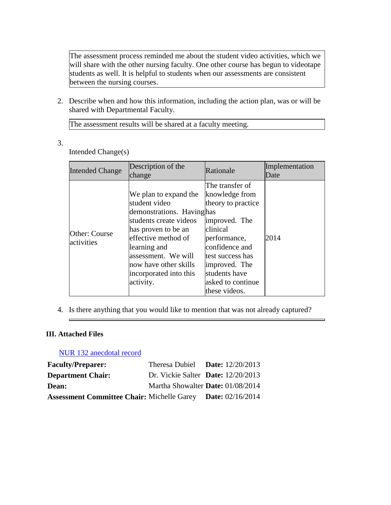The assessment process reminded me about the student video activities, which we will share with the other nursing faculty. One other course has begun to videotape students as well. It is helpful to students when our assessments are consistent between the nursing courses.

2. Describe when and how this information, including the action plan, was or will be shared with Departmental Faculty.

The assessment results will be shared at a faculty meeting.

3.

Intended Change(s)

| <b>Intended Change</b>      | Description of the<br>change                                                                                                                                                                                                                       | Rationale                                                                                                                                                                                                          | Implementation<br>Date |
|-----------------------------|----------------------------------------------------------------------------------------------------------------------------------------------------------------------------------------------------------------------------------------------------|--------------------------------------------------------------------------------------------------------------------------------------------------------------------------------------------------------------------|------------------------|
| Other: Course<br>activities | We plan to expand the<br>student video<br>demonstrations. Havinghas<br>students create videos<br>has proven to be an<br>effective method of<br>learning and<br>assessment. We will<br>now have other skills<br>incorporated into this<br>activity. | The transfer of<br>knowledge from<br>theory to practice<br>improved. The<br>clinical<br>performance,<br>confidence and<br>test success has<br>improved. The<br>students have<br>asked to continue<br>these videos. | 2014                   |

4. Is there anything that you would like to mention that was not already captured?

# **III. Attached Files**

# [NUR 132 anecdotal record](documents/NUR%20132%20anecdotal%20record%203013%20(11%2017).docx)

| <b>Faculty/Preparer:</b>                                           | Theresa Dubiel Date: $12/20/2013$    |
|--------------------------------------------------------------------|--------------------------------------|
| <b>Department Chair:</b>                                           | Dr. Vickie Salter Date: $12/20/2013$ |
| Dean:                                                              | Martha Showalter Date: 01/08/2014    |
| <b>Assessment Committee Chair: Michelle Garey Date: 02/16/2014</b> |                                      |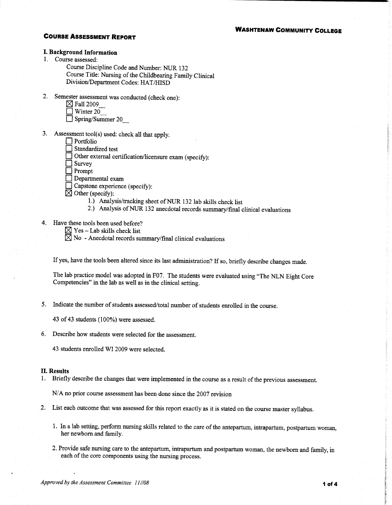## **COURSE ASSESSMENT REPORT**

## **I. Background Information**

1. Course assessed:

Course Discipline Code and Number: NUR 132 Course Title: Nursing of the Childbearing Family Clinical Division/Department Codes: HAT/HISD

 $2.$ Semester assessment was conducted (check one):

|  | $\boxtimes$ Fall 2009 |
|--|-----------------------|
|  |                       |

|  | WHEE ZU |  |  |
|--|---------|--|--|
|  |         |  |  |
|  |         |  |  |

 $\Box$  Spring/Summer 20

- 3. Assessment tool(s) used: check all that apply.
	- $\Box$  Portfolio

Standardized test

Other external certification/licensure exam (specify):

Survey

 $\Box$  Prompt

Departmental exam

 $\Box$  Capstone experience (specify):

 $\boxtimes$  Other (specify):

- 1.) Analysis/tracking sheet of NUR 132 lab skills check list
- 2.) Analysis of NUR 132 anecdotal records summary/final clinical evaluations
- 4. Have these tools been used before?

 $\boxtimes$  Yes – Lab skills check list

 $\boxtimes$  No - Anecdotal records summary/final clinical evaluations

If yes, have the tools been altered since its last administration? If so, briefly describe changes made.

The lab practice model was adopted in F07. The students were evaluated using "The NLN Eight Core Competencies" in the lab as well as in the clinical setting.

5. Indicate the number of students assessed/total number of students enrolled in the course.

43 of 43 students (100%) were assessed.

6. Describe how students were selected for the assessment.

43 students enrolled WI 2009 were selected.

#### **II. Results**

1. Briefly describe the changes that were implemented in the course as a result of the previous assessment.

N/A no prior course assessment has been done since the 2007 revision

- 2. List each outcome that was assessed for this report exactly as it is stated on the course master syllabus.
	- 1. In a lab setting, perform nursing skills related to the care of the antepartum, intrapartum, postpartum woman, her newborn and family.
	- 2. Provide safe nursing care to the antepartum, intrapartum and postpartum woman, the newborn and family, in each of the core components using the nursing process.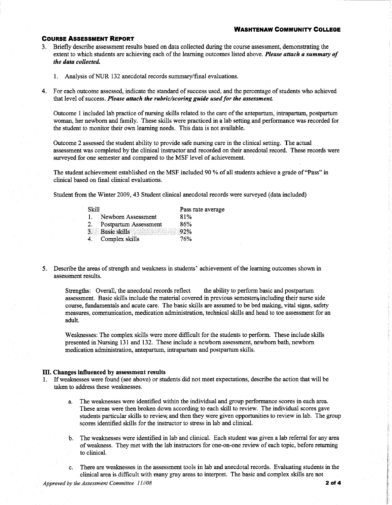## **WASHTENAW COMMUNITY COLLEGE**

## **COURSE ASSESSMENT REPORT**

- 3. Briefly describe assessment results based on data collected during the course assessment, demonstrating the extent to which students are achieving each of the learning outcomes listed above. Please attach a summary of the data collected.
	- 1. Analysis of NUR 132 anecdotal records summary/final evaluations.
- 4. For each outcome assessed, indicate the standard of success used, and the percentage of students who achieved that level of success. Please attach the rubric/scoring guide used for the assessment.

Outcome 1 included lab practice of nursing skills related to the care of the antepartum, intrapartum, postpartum woman, her newborn and family. These skills were practiced in a lab setting and performance was recorded for the student to monitor their own learning needs. This data is not available.

Outcome 2 assessed the student ability to provide safe nursing care in the clinical setting. The actual assessment was completed by the clinical instructor and recorded on their anecdotal record. These records were surveyed for one semester and compared to the MSF level of achievement.

The student achievement established on the MSF included 90 % of all students achieve a grade of "Pass" in clinical based on final clinical evaluations.

Student from the Winter 2009, 43 Student clinical anecdotal records were surveyed (data included)

| -Skill       |                        | Pass rate average |
|--------------|------------------------|-------------------|
| $\mathbf{L}$ | Newborn Assessment     | 81%               |
| 2.           | Postpartum Assessment  | 86%               |
|              | 3. Basic skills 3. 92% |                   |
| 4.           | Complex skills         | 76%               |

5. Describe the areas of strength and weakness in students' achievement of the learning outcomes shown in assessment results.

the ability to perform basic and postpartum Strengths: Overall, the anecdotal records reflect assessment. Basic skills include the material covered in previous semesters including their nurse aide course, fundamentals and acute care. The basic skills are assumed to be bed making, vital signs, safety measures, communication, medication administration, technical skills and head to toe assessment for an adult.

Weaknesses: The complex skills were more difficult for the students to perform. These include skills presented in Nursing 131 and 132. These include a newborn assessment, newborn bath, newborn medication administration, antepartum, intrapartum and postpartum skills.

#### III. Changes influenced by assessment results

- 1. If weaknesses were found (see above) or students did not meet expectations, describe the action that will be taken to address these weaknesses.
	- a. The weaknesses were identified within the individual and group performance scores in each area. These areas were then broken down according to each skill to review. The individual scores gave students particular skills to review, and then they were given opportunities to review in lab. The group scores identified skills for the instructor to stress in lab and clinical.
	- b. The weaknesses were identified in lab and clinical. Each student was given a lab referral for any area of weakness. They met with the lab instructors for one-on-one review of each topic, before returning to clinical.
	- c. There are weaknesses in the assessment tools in lab and anecdotal records. Evaluating students in the clinical area is difficult with many gray areas to interpret. The basic and complex skills are not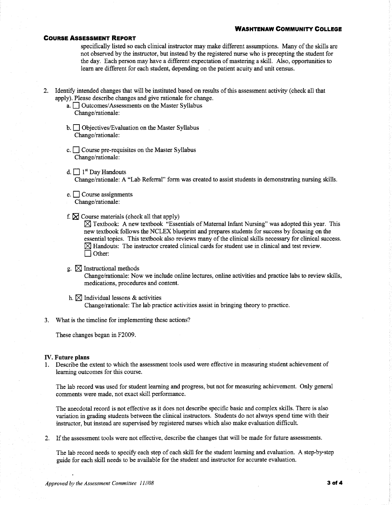#### **WASHTENAW COMMUNITY COLLEGE**

#### **COURSE ASSESSMENT REPORT**

specifically listed so each clinical instructor may make different assumptions. Many of the skills are not observed by the instructor, but instead by the registered nurse who is precepting the student for the day. Each person may have a different expectation of mastering a skill. Also, opportunities to learn are different for each student, depending on the patient acuity and unit census.

- 2. Identify intended changes that will be instituted based on results of this assessment activity (check all that apply). Please describe changes and give rationale for change.
	- a. <u>Outcomes/Assessments</u> on the Master Syllabus Change/rationale:
	- $\mathbf{b}$ .  $\Box$  Objectives/Evaluation on the Master Syllabus Change/rationale:
	- c.  $\Box$  Course pre-requisites on the Master Syllabus Change/rationale:
	- d.  $\Box$  1<sup>st</sup> Day Handouts Change/rationale: A "Lab Referral" form was created to assist students in demonstrating nursing skills.
	- $e.$  Course assignments Change/rationale:
	- f.  $\boxtimes$  Course materials (check all that apply)

 $\boxtimes$  Textbook: A new textbook "Essentials of Maternal Infant Nursing" was adopted this year. This new textbook follows the NCLEX blueprint and prepares students for success by focusing on the essential topics. This textbook also reviews many of the clinical skills necessary for clinical success.  $\boxtimes$  Handouts: The instructor created clinical cards for student use in clinical and test review.  $\Box$  Other:

# g.  $\boxtimes$  Instructional methods

Change/rationale: Now we include online lectures, online activities and practice labs to review skills, medications, procedures and content.

- h.  $\boxtimes$  Individual lessons & activities Change/rationale: The lab practice activities assist in bringing theory to practice.
- 3. What is the timeline for implementing these actions?

These changes began in F2009.

### **IV.** Future plans

1. Describe the extent to which the assessment tools used were effective in measuring student achievement of learning outcomes for this course.

The lab record was used for student learning and progress, but not for measuring achievement. Only general comments were made, not exact skill performance.

The anecdotal record is not effective as it does not describe specific basic and complex skills. There is also variation in grading students between the clinical instructors. Students do not always spend time with their instructor, but instead are supervised by registered nurses which also make evaluation difficult.

2. If the assessment tools were not effective, describe the changes that will be made for future assessments.

The lab record needs to specify each step of each skill for the student learning and evaluation. A step-by-step guide for each skill needs to be available for the student and instructor for accurate evaluation.